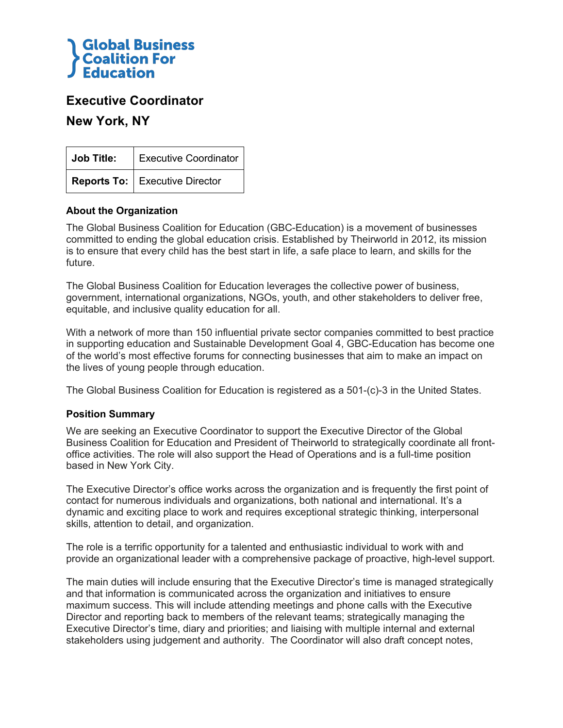

## **Executive Coordinator**

**New York, NY**

| Job Title: | <b>Executive Coordinator</b>     |
|------------|----------------------------------|
|            | Reports To:   Executive Director |

### **About the Organization**

The Global Business Coalition for Education (GBC-Education) is a movement of businesses committed to ending the global education crisis. Established by Theirworld in 2012, its mission is to ensure that every child has the best start in life, a safe place to learn, and skills for the future.

The Global Business Coalition for Education leverages the collective power of business, government, international organizations, NGOs, youth, and other stakeholders to deliver free, equitable, and inclusive quality education for all.

With a network of more than 150 influential private sector companies committed to best practice in supporting education and Sustainable Development Goal 4, GBC-Education has become one of the world's most effective forums for connecting businesses that aim to make an impact on the lives of young people through education.

The Global Business Coalition for Education is registered as a 501-(c)-3 in the United States.

### **Position Summary**

We are seeking an Executive Coordinator to support the Executive Director of the Global Business Coalition for Education and President of Theirworld to strategically coordinate all frontoffice activities. The role will also support the Head of Operations and is a full-time position based in New York City.

The Executive Director's office works across the organization and is frequently the first point of contact for numerous individuals and organizations, both national and international. It's a dynamic and exciting place to work and requires exceptional strategic thinking, interpersonal skills, attention to detail, and organization.

The role is a terrific opportunity for a talented and enthusiastic individual to work with and provide an organizational leader with a comprehensive package of proactive, high-level support.

The main duties will include ensuring that the Executive Director's time is managed strategically and that information is communicated across the organization and initiatives to ensure maximum success. This will include attending meetings and phone calls with the Executive Director and reporting back to members of the relevant teams; strategically managing the Executive Director's time, diary and priorities; and liaising with multiple internal and external stakeholders using judgement and authority. The Coordinator will also draft concept notes,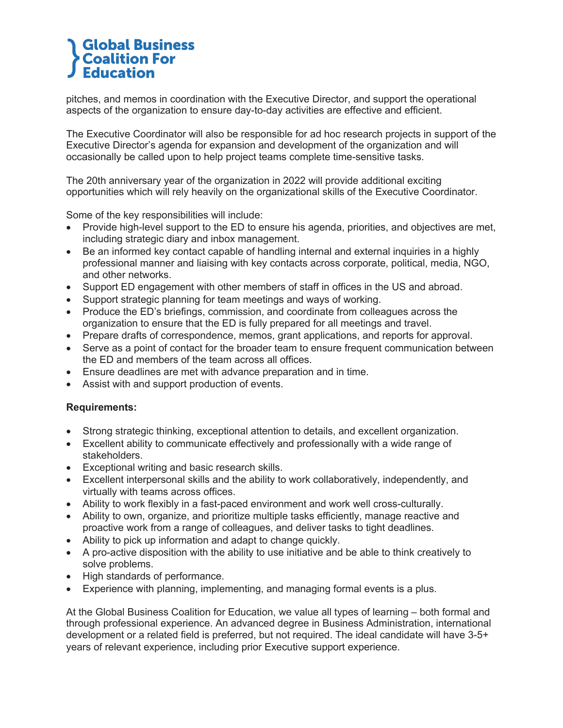# **Global Business Coalition For Education**

pitches, and memos in coordination with the Executive Director, and support the operational aspects of the organization to ensure day-to-day activities are effective and efficient.

The Executive Coordinator will also be responsible for ad hoc research projects in support of the Executive Director's agenda for expansion and development of the organization and will occasionally be called upon to help project teams complete time-sensitive tasks.

The 20th anniversary year of the organization in 2022 will provide additional exciting opportunities which will rely heavily on the organizational skills of the Executive Coordinator.

Some of the key responsibilities will include:

- Provide high-level support to the ED to ensure his agenda, priorities, and objectives are met, including strategic diary and inbox management.
- Be an informed key contact capable of handling internal and external inquiries in a highly professional manner and liaising with key contacts across corporate, political, media, NGO, and other networks.
- Support ED engagement with other members of staff in offices in the US and abroad.
- Support strategic planning for team meetings and ways of working.
- Produce the ED's briefings, commission, and coordinate from colleagues across the organization to ensure that the ED is fully prepared for all meetings and travel.
- Prepare drafts of correspondence, memos, grant applications, and reports for approval.
- Serve as a point of contact for the broader team to ensure frequent communication between the ED and members of the team across all offices.
- Ensure deadlines are met with advance preparation and in time.
- Assist with and support production of events.

### **Requirements:**

- Strong strategic thinking, exceptional attention to details, and excellent organization.
- Excellent ability to communicate effectively and professionally with a wide range of stakeholders.
- Exceptional writing and basic research skills.
- Excellent interpersonal skills and the ability to work collaboratively, independently, and virtually with teams across offices.
- Ability to work flexibly in a fast-paced environment and work well cross-culturally.
- Ability to own, organize, and prioritize multiple tasks efficiently, manage reactive and proactive work from a range of colleagues, and deliver tasks to tight deadlines.
- Ability to pick up information and adapt to change quickly.
- A pro-active disposition with the ability to use initiative and be able to think creatively to solve problems.
- High standards of performance.
- Experience with planning, implementing, and managing formal events is a plus.

At the Global Business Coalition for Education, we value all types of learning – both formal and through professional experience. An advanced degree in Business Administration, international development or a related field is preferred, but not required. The ideal candidate will have 3-5+ years of relevant experience, including prior Executive support experience.